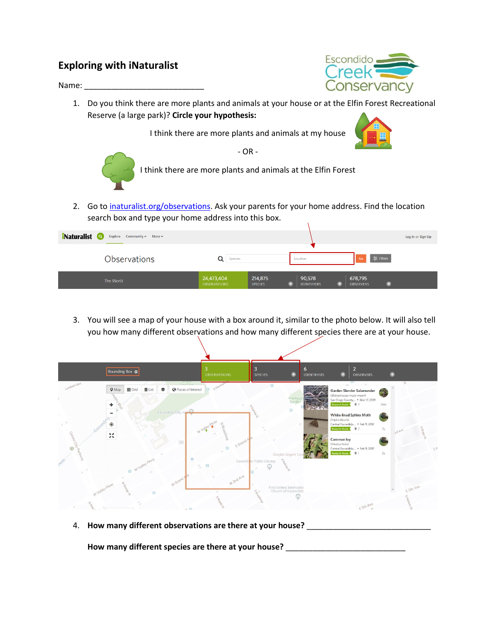## **Exploring with iNaturalist**

Name:



1. Do you think there are more plants and animals at your house or at the Elfin Forest Recreational Reserve (a large park)? **Circle your hypothesis:**

I think there are more plants and animals at my house





- OR - I think there are more plants and animals at the Elfin Forest

2. Go to [inaturalist.org/observations.](https://www.inaturalist.org/observations) Ask your parents for your home address. Find the location



3. You will see a map of your house with a box around it, similar to the photo below. It will also tell you how many different observations and how many different species there are at your house.

| Bounding Box O                                                                                                              | <b>OBSERVATIONS</b>                          | <b>SPECIES</b>                                | 6<br><b>IDENTIFIERS</b>          | <b>OBSERVERS</b>                                                                                                    |               |
|-----------------------------------------------------------------------------------------------------------------------------|----------------------------------------------|-----------------------------------------------|----------------------------------|---------------------------------------------------------------------------------------------------------------------|---------------|
| Day Dark<br>Lambert Glen<br><b>III</b> Grid<br>$\equiv$ List<br>Places of Interest<br>$Q$ Map<br>黍<br>ð.<br><b>PAS</b><br>۰ | EPE                                          | 回                                             | Heritage<br>$\qquad \qquad \Box$ | Garden Slender Salamander<br>(Batrachoseps major major)<br>San Diego County, . Mar 17, 2019<br>Research Grade ( U 3 | O.<br>5mo     |
| $-60$<br>Escondido City Hall<br>$\odot$<br>M                                                                                | <b>Division</b>                              | U.                                            |                                  | White-lined Sphinx Moth<br>(Hyles lineata)<br>Central Escondido . Feb 9, 2017<br>Research Grade ( U 2               | 2y<br>ava Ave |
| Centre City<br>S6<br>Ü<br>2<br>$\circ$<br>El Wyalley Pkwy<br>$\mathcal{L}_{\mu}$                                            | E Grand<br>$\qquad \qquad \Box$<br>$\square$ | Graybill Urgent<br>Escondito Public Library   |                                  | Common Ivy<br>(Hedera helix)<br>Central Escondido, . Feb 9, 2017<br>Research Grade                                  | $E^M$<br>2y   |
| W Grand<br>W Valley PKWY<br>$\Box$<br>$.0.$ [7]                                                                             | W 2nd Ave                                    | First United Methodist<br>Church of Escondido |                                  | E 5th Ave                                                                                                           | E 5th Ave     |

4. **How many different observations are there at your house?** \_\_\_\_\_\_\_\_\_\_\_\_\_\_\_\_\_\_\_\_\_\_\_\_\_\_\_\_

**How many different species are there at your house?** \_\_\_\_\_\_\_\_\_\_\_\_\_\_\_\_\_\_\_\_\_\_\_\_\_\_\_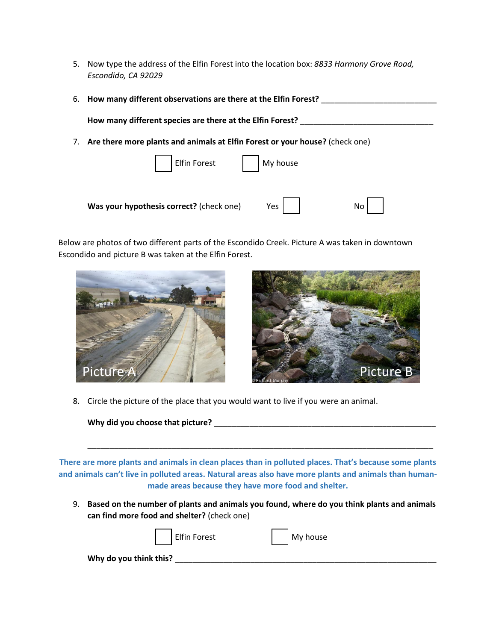5. Now type the address of the Elfin Forest into the location box: *8833 Harmony Grove Road, Escondido, CA 92029*

| 6. | How many different observations are there at the Elfin Forest?               |  |  |  |  |  |  |
|----|------------------------------------------------------------------------------|--|--|--|--|--|--|
|    | How many different species are there at the Elfin Forest?                    |  |  |  |  |  |  |
|    | Are there more plants and animals at Elfin Forest or your house? (check one) |  |  |  |  |  |  |
|    | Elfin Forest My house                                                        |  |  |  |  |  |  |
|    | Was your hypothesis correct? (check one)<br>Yes<br>No                        |  |  |  |  |  |  |

Below are photos of two different parts of the Escondido Creek. Picture A was taken in downtown Escondido and picture B was taken at the Elfin Forest.





8. Circle the picture of the place that you would want to live if you were an animal.

**Why did you choose that picture?** \_\_\_\_\_\_\_\_\_\_\_\_\_\_\_\_\_\_\_\_\_\_\_\_\_\_\_\_\_\_\_\_\_\_\_\_\_\_\_\_\_\_\_\_\_\_\_\_\_\_

**There are more plants and animals in clean places than in polluted places. That's because some plants and animals can't live in polluted areas. Natural areas also have more plants and animals than humanmade areas because they have more food and shelter.**

9. **Based on the number of plants and animals you found, where do you think plants and animals can find more food and shelter?** (check one)

\_\_\_\_\_\_\_\_\_\_\_\_\_\_\_\_\_\_\_\_\_\_\_\_\_\_\_\_\_\_\_\_\_\_\_\_\_\_\_\_\_\_\_\_\_\_\_\_\_\_\_\_\_\_\_\_\_\_\_\_\_\_\_\_\_\_\_\_\_\_\_\_\_\_\_\_\_\_

|                        | Elfin Forest | My house |
|------------------------|--------------|----------|
| Why do you think this? |              |          |